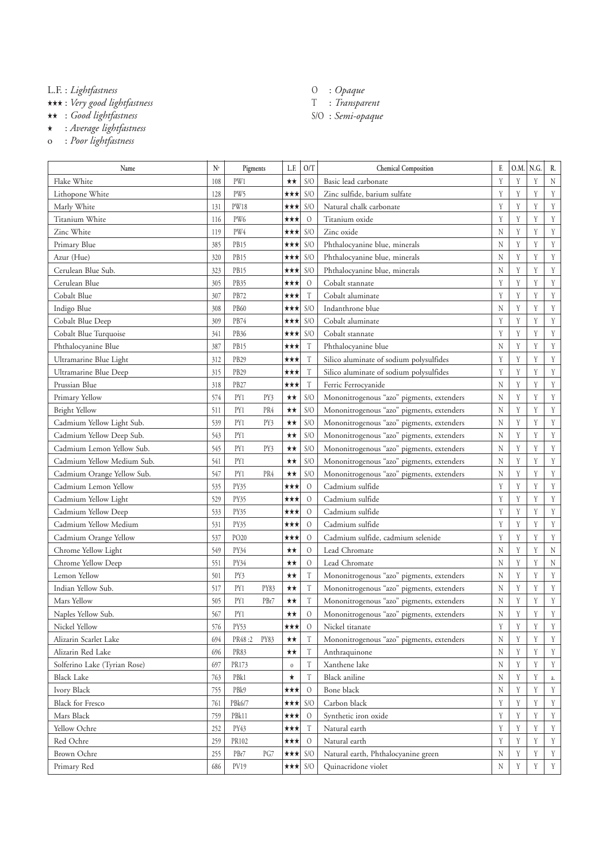L.F. : *Lightfastness*

★★★ : *Very good lightfastness*

★★ : *Good lightfastness*

★ : *Average lightfastness*

o : *Poor lightfastness*

- O : *Opaque*
- T : *Transparent*
- S/O : *Semi-opaque*

| Name                         | $N^{\circ}$ | Pigments         |      | L.F.         | O/T                       | <b>Chemical Composition</b>               | F.      | O.M. | N.G. | R. |
|------------------------------|-------------|------------------|------|--------------|---------------------------|-------------------------------------------|---------|------|------|----|
| Flake White                  | 108         | PW1              |      | $\star\star$ | S/O                       | Basic lead carbonate                      | Y       | Y    | Y    | N  |
| Lithopone White              | 128         | PW5              |      | ★★★          | S/O                       | Zinc sulfide, barium sulfate              | Y       | Y    | Y    | Y  |
| Marly White                  | 131         | <b>PW18</b>      |      | ★★★          | S/O                       | Natural chalk carbonate                   | Y       | Y    | Y    | Y  |
| Titanium White               | 116         | PW6              |      | ★★★          | $\mathcal{O}$             | Titanium oxide                            | Y       | Y    | Y    | Y  |
| Zinc White                   | 119         | PW4              |      | ★★★          | S/O                       | Zinc oxide                                | $\rm N$ | Y    | Y    | Y  |
| Primary Blue                 | 385         | PB15             |      | ★★★          | S/O                       | Phthalocyanine blue, minerals             | N       | Y    | Y    | Y  |
| Azur (Hue)                   | 320         | PB15             |      | ★★★          | S/O                       | Phthalocyanine blue, minerals             | N       | Y    | Y    | Y  |
| Cerulean Blue Sub.           | 323         | PB15             |      | ★★★          | S/O                       | Phthalocyanine blue, minerals             | N       | Y    | Y    | Y  |
| Cerulean Blue                | 305         | PB35             |      | ★★★          | $\mathcal{O}$             | Cobalt stannate                           | Y       | Y    | Y    | Y  |
| Cobalt Blue                  | 307         | PB72             |      | ★★★          | T                         | Cobalt aluminate                          | Y       | Y    | Y    | Y  |
| Indigo Blue                  | 308         | PB60             |      | ★★★          | S/O                       | Indanthrone blue                          | $\rm N$ | Y    | Y    | Y  |
| Cobalt Blue Deep             | 309         | PB74             |      | ★★★          | S/O                       | Cobalt aluminate                          | Y       | Y    | Y    | Y  |
| Cobalt Blue Turquoise        | 341         | PB36             |      | ★★★          | S/O                       | Cobalt stannate                           | Y       | Y    | Y    | Y  |
| Phthalocyanine Blue          | 387         | PB15             |      | ★★★          | T                         | Phthalocyanine blue                       | $\rm N$ | Y    | Y    | Y  |
| Ultramarine Blue Light       | 312         | PB <sub>29</sub> |      | ★★★          | T                         | Silico aluminate of sodium polysulfides   | Y       | Y    | Y    | Y  |
| Ultramarine Blue Deep        | 315         | PB29             |      | ★★★          | T                         | Silico aluminate of sodium polysulfides   | Y       | Y    | Y    | Y  |
| Prussian Blue                | 318         | PB27             |      | ★★★          | T                         | Ferric Ferrocyanide                       | N       | Y    | Y    | Y  |
| Primary Yellow               | 574         | PY1              | PY3  | ★★           | S/O                       | Mononitrogenous "azo" pigments, extenders | N       | Y    | Y    | Y  |
| <b>Bright Yellow</b>         | 511         | PY1              | PR4  | ★★           | S/O                       | Mononitrogenous "azo" pigments, extenders | N       | Y    | Y    | Y  |
| Cadmium Yellow Light Sub.    | 539         | PY1              | PY3  | ★★           | S/O                       | Mononitrogenous "azo" pigments, extenders | N       | Y    | Y    | Y  |
| Cadmium Yellow Deep Sub.     | 543         | PY1              |      | ★★           | S/O                       | Mononitrogenous "azo" pigments, extenders | N       | Y    | Y    | Y  |
| Cadmium Lemon Yellow Sub.    | 545         | PY1              | PY3  | ★★           | S/O                       | Mononitrogenous "azo" pigments, extenders | N       | Y    | Y    | Y  |
| Cadmium Yellow Medium Sub.   | 541         | PY1              |      | ★★           | S/O                       | Mononitrogenous "azo" pigments, extenders | N       | Y    | Y    | Y  |
| Cadmium Orange Yellow Sub.   | 547         | PY1              | PR4  | ★★           | S/O                       | Mononitrogenous "azo" pigments, extenders | $\rm N$ | Y    | Y    | Y  |
| Cadmium Lemon Yellow         | 535         | PY35             |      | ★★★          | $\mathcal{O}$             | Cadmium sulfide                           | Y       | Y    | Y    | Y  |
| Cadmium Yellow Light         | 529         | PY35             |      | ★★★          | $\mathcal{O}$             | Cadmium sulfide                           | Y       | Y    | Y    | Y  |
| Cadmium Yellow Deep          | 533         | PY35             |      | ★★★          | $\mathcal{O}$             | Cadmium sulfide                           | Y       | Y    | Y    | Y  |
| Cadmium Yellow Medium        | 531         | <b>PY35</b>      |      | ★★★          | $\mathcal{O}$             | Cadmium sulfide                           | Y       | Y    | Y    | Y  |
| Cadmium Orange Yellow        | 537         | PO <sub>20</sub> |      | ★★★          | $\mathcal{O}$             | Cadmium sulfide, cadmium selenide         | Y       | Y    | Y    | Y  |
| Chrome Yellow Light          | 549         | PY34             |      | ★★           | $\mathcal{O}$             | Lead Chromate                             | $\rm N$ | Y    | Y    | N  |
| Chrome Yellow Deep           | 551         | PY34             |      | $\star\star$ | $\mathcal{O}$             | Lead Chromate                             | N       | Y    | Y    | N  |
| Lemon Yellow                 | 501         | PY3              |      | ★★           | T                         | Mononitrogenous "azo" pigments, extenders | N       | Y    | Y    | Y  |
| Indian Yellow Sub.           | 517         | PY1              | PY83 | ★★           | $\rm T$                   | Mononitrogenous "azo" pigments, extenders | N       | Y    | Y    | Y  |
| Mars Yellow                  | 505         | PY1              | PBr7 | **           | T                         | Mononitrogenous "azo" pigments, extenders | N       | Y    | Y    | Y  |
| Naples Yellow Sub.           | 567         | PY1              |      | ★★           | $\circ$                   | Mononitrogenous "azo" pigments, extenders | Ν       | Y    | Υ    | Y  |
| Nickel Yellow                | 576         | PY53             |      | ★★★          | $\mathcal{O}$             | Nickel titanate                           | Y       | Y    | Y    | Y  |
| Alizarin Scarlet Lake        | 694         | PR48:2 PY83      |      | ★★           | T                         | Mononitrogenous "azo" pigments, extenders | $\rm N$ | Y    | Y    | Y  |
| Alizarin Red Lake            | 696         | PR83             |      | ★★           | T                         | Anthraquinone                             | $\rm N$ | Y    | Y    | Y  |
| Solferino Lake (Tyrian Rose) | 697         | PR173            |      | $\,$ $\,$    | T                         | Xanthene lake                             | N       | Y    | Y    | Y  |
| <b>Black Lake</b>            | 763         | PB <sub>k1</sub> |      | $^\star$     | T                         | Black aniline                             | $\rm N$ | Y    | Y    | a. |
| Ivory Black                  | 755         | PBk9             |      | ★★★          | $\mathcal{O}$             | Bone black                                | N       | Y    | Y    | Y  |
| <b>Black for Fresco</b>      | 761         | PBk6/7           |      | ★★★          | S/O                       | Carbon black                              | Y       | Y    | Y    | Y  |
| Mars Black                   | 759         | PBk11            |      | ★★★          | $\mathcal{O}$             | Synthetic iron oxide                      | Y       | Y    | Y    | Y  |
| Yellow Ochre                 | 252         | PY43             |      | ★★★          | $\ensuremath{\mathrm{T}}$ | Natural earth                             | Y       | Y    | Y    | Y  |
| Red Ochre                    | 259         | PR102            |      | ***          | $\mathcal{O}$             | Natural earth                             | Y       | Y    | Y    | Y  |
| Brown Ochre                  | 255         | PBr7             | PG7  | ★★★          | S/O                       | Natural earth, Phthalocyanine green       | $\rm N$ | Y    | Y    | Y  |
| Primary Red                  | 686         | PV19             |      | ★★★          | S/O                       | Quinacridone violet                       | $\rm N$ | Y    | Y    | Y  |